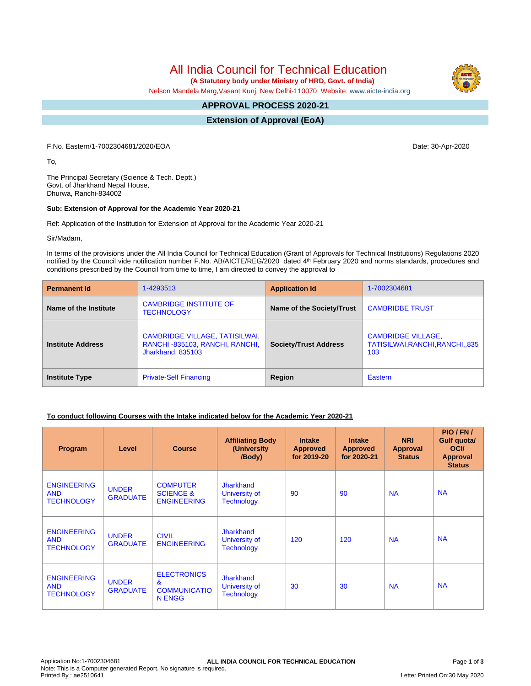All India Council for Technical Education

 **(A Statutory body under Ministry of HRD, Govt. of India)**

Nelson Mandela Marg,Vasant Kunj, New Delhi-110070 Website: [www.aicte-india.org](http://www.aicte-india.org)

#### **APPROVAL PROCESS 2020-21 -**

**Extension of Approval (EoA)**

F.No. Eastern/1-7002304681/2020/EOA Date: 30-Apr-2020

To,

The Principal Secretary (Science & Tech. Deptt.) Govt. of Jharkhand Nepal House, Dhurwa, Ranchi-834002

### **Sub: Extension of Approval for the Academic Year 2020-21**

Ref: Application of the Institution for Extension of Approval for the Academic Year 2020-21

Sir/Madam,

In terms of the provisions under the All India Council for Technical Education (Grant of Approvals for Technical Institutions) Regulations 2020 notified by the Council vide notification number F.No. AB/AICTE/REG/2020 dated 4<sup>th</sup> February 2020 and norms standards, procedures and conditions prescribed by the Council from time to time, I am directed to convey the approval to

| <b>Permanent Id</b>      | 1-4293513                                                                                    | <b>Application Id</b>        | 1-7002304681                                                        |  |
|--------------------------|----------------------------------------------------------------------------------------------|------------------------------|---------------------------------------------------------------------|--|
| Name of the Institute    | <b>CAMBRIDGE INSTITUTE OF</b><br><b>TECHNOLOGY</b>                                           | Name of the Society/Trust    | <b>CAMBRIDBE TRUST</b>                                              |  |
| <b>Institute Address</b> | <b>CAMBRIDGE VILLAGE, TATISILWAI,</b><br>RANCHI-835103, RANCHI, RANCHI,<br>Jharkhand, 835103 | <b>Society/Trust Address</b> | <b>CAMBRIDGE VILLAGE,</b><br>TATISILWAI, RANCHI, RANCHI, 835<br>103 |  |
| <b>Institute Type</b>    | <b>Private-Self Financing</b>                                                                | Region                       | Eastern                                                             |  |

## **To conduct following Courses with the Intake indicated below for the Academic Year 2020-21**

| Program                                               | Level                           | <b>Course</b>                                                       | <b>Affiliating Body</b><br>(University<br>/Body)       | <b>Intake</b><br><b>Approved</b><br>for 2019-20 | <b>Intake</b><br><b>Approved</b><br>for 2020-21 | <b>NRI</b><br>Approval<br><b>Status</b> | PIO/FN/<br>Gulf quota/<br><b>OCI</b><br><b>Approval</b><br><b>Status</b> |
|-------------------------------------------------------|---------------------------------|---------------------------------------------------------------------|--------------------------------------------------------|-------------------------------------------------|-------------------------------------------------|-----------------------------------------|--------------------------------------------------------------------------|
| <b>ENGINEERING</b><br><b>AND</b><br><b>TECHNOLOGY</b> | <b>UNDER</b><br><b>GRADUATE</b> | <b>COMPUTER</b><br><b>SCIENCE &amp;</b><br><b>ENGINEERING</b>       | <b>Jharkhand</b><br>University of<br><b>Technology</b> | 90                                              | 90                                              | <b>NA</b>                               | <b>NA</b>                                                                |
| <b>ENGINEERING</b><br><b>AND</b><br><b>TECHNOLOGY</b> | <b>UNDER</b><br><b>GRADUATE</b> | <b>CIVIL</b><br><b>ENGINEERING</b>                                  | <b>Jharkhand</b><br>University of<br><b>Technology</b> | 120                                             | 120                                             | <b>NA</b>                               | <b>NA</b>                                                                |
| <b>ENGINEERING</b><br><b>AND</b><br><b>TECHNOLOGY</b> | <b>UNDER</b><br><b>GRADUATE</b> | <b>ELECTRONICS</b><br>$\mathbf{g}$<br><b>COMMUNICATIO</b><br>N ENGG | <b>Jharkhand</b><br>University of<br><b>Technology</b> | 30                                              | 30                                              | <b>NA</b>                               | <b>NA</b>                                                                |

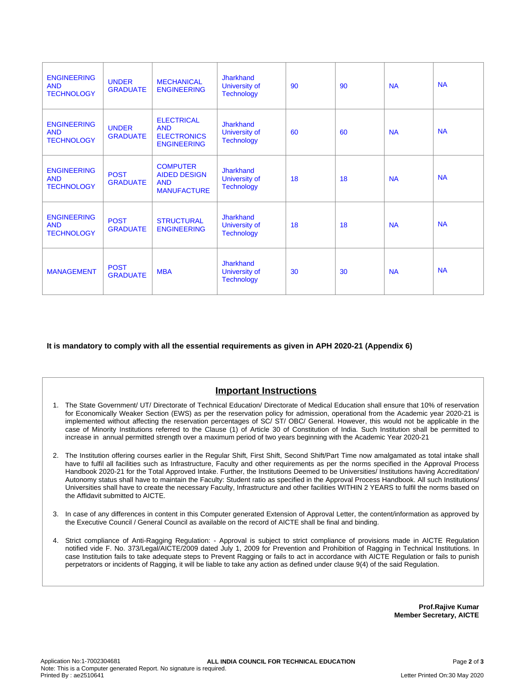| <b>ENGINEERING</b><br><b>AND</b><br><b>TECHNOLOGY</b> | <b>UNDER</b><br><b>GRADUATE</b> | <b>MECHANICAL</b><br><b>ENGINEERING</b>                                     | <b>Jharkhand</b><br>University of<br><b>Technology</b> | 90 | 90 | <b>NA</b> | <b>NA</b> |
|-------------------------------------------------------|---------------------------------|-----------------------------------------------------------------------------|--------------------------------------------------------|----|----|-----------|-----------|
| <b>ENGINEERING</b><br><b>AND</b><br><b>TECHNOLOGY</b> | <b>UNDER</b><br><b>GRADUATE</b> | <b>ELECTRICAL</b><br><b>AND</b><br><b>ELECTRONICS</b><br><b>ENGINEERING</b> | Jharkhand<br>University of<br><b>Technology</b>        | 60 | 60 | <b>NA</b> | <b>NA</b> |
| <b>ENGINEERING</b><br><b>AND</b><br><b>TECHNOLOGY</b> | <b>POST</b><br><b>GRADUATE</b>  | <b>COMPUTER</b><br><b>AIDED DESIGN</b><br><b>AND</b><br><b>MANUFACTURE</b>  | Jharkhand<br>University of<br><b>Technology</b>        | 18 | 18 | <b>NA</b> | <b>NA</b> |
| <b>ENGINEERING</b><br><b>AND</b><br><b>TECHNOLOGY</b> | <b>POST</b><br><b>GRADUATE</b>  | <b>STRUCTURAL</b><br><b>ENGINEERING</b>                                     | <b>Jharkhand</b><br>University of<br><b>Technology</b> | 18 | 18 | <b>NA</b> | <b>NA</b> |
| <b>MANAGEMENT</b>                                     | <b>POST</b><br><b>GRADUATE</b>  | <b>MBA</b>                                                                  | Jharkhand<br><b>University of</b><br><b>Technology</b> | 30 | 30 | <b>NA</b> | <b>NA</b> |

**It is mandatory to comply with all the essential requirements as given in APH 2020-21 (Appendix 6)**

# **Important Instructions**

- 1. The State Government/ UT/ Directorate of Technical Education/ Directorate of Medical Education shall ensure that 10% of reservation for Economically Weaker Section (EWS) as per the reservation policy for admission, operational from the Academic year 2020-21 is implemented without affecting the reservation percentages of SC/ ST/ OBC/ General. However, this would not be applicable in the case of Minority Institutions referred to the Clause (1) of Article 30 of Constitution of India. Such Institution shall be permitted to increase in annual permitted strength over a maximum period of two years beginning with the Academic Year 2020-21
- 2. The Institution offering courses earlier in the Regular Shift, First Shift, Second Shift/Part Time now amalgamated as total intake shall have to fulfil all facilities such as Infrastructure, Faculty and other requirements as per the norms specified in the Approval Process Handbook 2020-21 for the Total Approved Intake. Further, the Institutions Deemed to be Universities/ Institutions having Accreditation/ Autonomy status shall have to maintain the Faculty: Student ratio as specified in the Approval Process Handbook. All such Institutions/ Universities shall have to create the necessary Faculty, Infrastructure and other facilities WITHIN 2 YEARS to fulfil the norms based on the Affidavit submitted to AICTE.
- 3. In case of any differences in content in this Computer generated Extension of Approval Letter, the content/information as approved by the Executive Council / General Council as available on the record of AICTE shall be final and binding.
- 4. Strict compliance of Anti-Ragging Regulation: Approval is subject to strict compliance of provisions made in AICTE Regulation notified vide F. No. 373/Legal/AICTE/2009 dated July 1, 2009 for Prevention and Prohibition of Ragging in Technical Institutions. In case Institution fails to take adequate steps to Prevent Ragging or fails to act in accordance with AICTE Regulation or fails to punish perpetrators or incidents of Ragging, it will be liable to take any action as defined under clause 9(4) of the said Regulation.

**Prof.Rajive Kumar Member Secretary, AICTE**